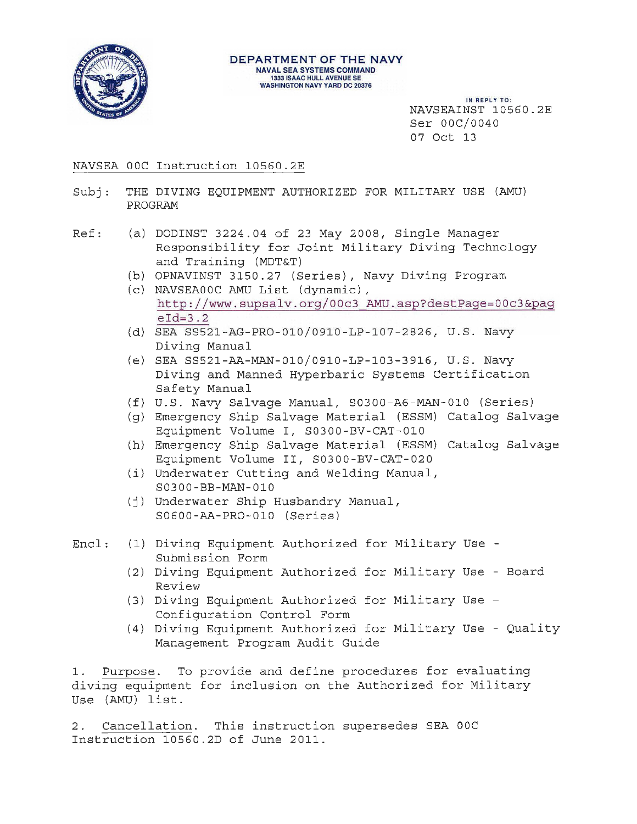

### **DEPARTMENT OF THE NAVY**  NAVAL SEA SYSTEMS COMMAND 13331SAAC HULL AVENUE SE WASHINGTON NAVY YARD DC 20376

IN REPLY TO: NAVSEAINST 10560.2E Ser OOC/0040 07 Oct 13

# NAVSEA OOC Instruction 10560.2E

- Subj: THE DIVING EQUIPMENT AUTHORIZED FOR MILITARY USE (AMU) PROGRAM
- Ref: (a) DODINST 3224.04 of 23 May 2008, Single Manager Responsibility for Joint Military Diving Technology and Training (MDT&T)
	- (b) OPNAVINST 3150.27 (Series), Navy Diving Program
	- (c) NAVSEAOOC AMU List (dynamic ) , http ://www.supsalv.org/00c3 AMU.asp?destPage=00c3&pag  $eId=3.2$
	- (d) SEA SS521 AG- PR0- 010/0910 -LP- 107-2826, U.S. Navy Diving Manual
	- (e) SEA SS52 1 -AA-MAN-010/0910-LP-103 3916, U.S. Navy Diving and Manned Hyperbaric Systems Certification Safety Manual
	- (f) U.S. Navy Sal vage Manual, S0300-A6-MAN- 010 (Series)
	- (g) Emergency Ship Salvage Material (ESSM) Catalog Salvage Equipment Volume I, S0300-BV-CAT-01 0
	- (h) Emergency Ship Salvage Material (ESSM) Catalog Salvage Equipment Volume II, S0300-BV-CAT-020
	- (i) Underwater Cutting and Welding Manual, S0300-BB-MAN-010
	- (j) Underwater Ship Husbandry Manual, S0600-AA-PR0-010 (Series)
- Encl: (1) Diving Equipment Authorized for Military Use -Submission Form
	- (2) Diving Equipment Authorized for Military Use Board Review
	- ( 3) Diving Equipment Authorized for Mi litary Use Configuration Control Form
	- (4) Diving Equipment Authorized f or Military Use Qual ity Management Program Audit Guide

1. Purpose. To provide and define procedures for evaluating diving equipment for inclusion on the Authorized for Military Use (AMU) list.

2. Cancellation. This instruction supersedes SEA OOC Instruction 10560.2D of June 2011 .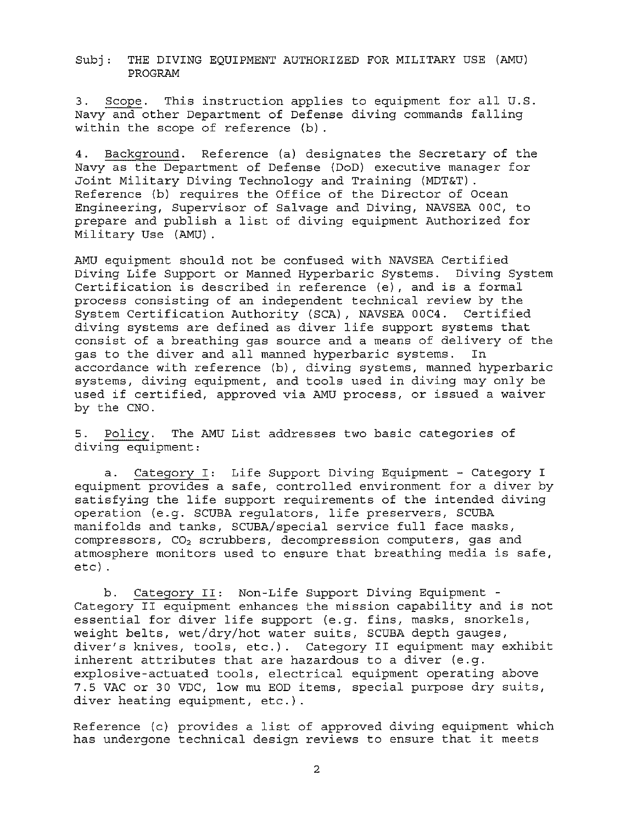3. Scope. This instruction applies to equipment for all U.S. Navy and other Department of Defense diving commands falling within the scope of reference (b) .

4. Background. Reference (a) designates the Secretary of the Navy as the Department of Defense (DoD) executive manager for Joint Military Diving Technology and Training (MDT&T). Reference (b) requires the Office of the Director of Ocean Engineering, Supervisor of Salvage and Diving, NAVSEA OOC, to prepare and publish a list of diving equipment Authorized for Military Use (AMU) .

AMU equipment should not be confused with NAVSEA Certified Diving Life Support or Manned Hyperbaric Systems. Diving System Certification is described in reference (e) , and is a formal process consisting of an independent technical review by the System Certification Authority (SCA), NAVSEA OOC4. Certified diving systems are defined as diver life support systems that consist of a breathing gas source and a means of delivery of the gas to the diver and all manned hyperbaric systems. In accordance with reference (b) , diving systems, manned hyperbaric systems, diving equipment, and tools used in diving may only be used if certified, approved via AMU process, or issued a waiver by the CNO.

5. Policy. The AMU List addresses two basic categories of diving equipment:

a. Category I: Life Support Diving Equipment - Category I equipment provides a safe, controlled environment for a diver by satisfying the life support requirements of the intended diving operation (e.g. SCUBA regulators, life preservers, SCUBA manifolds and tanks, SCUBA/special service full face masks,  $compressors, CO<sub>2</sub> scrubbers, decompression computers, gas and$ atmosphere monitors used to ensure that breathing media is safe, etc) .

b. Category II: Non-Life Support Diving Equipment - Category II equipment enhances the mission capability and is not essential for diver life support (e.g. fins, masks, snorkels, weight belts, wet/dry/hot water suits, SCUBA depth gauges, diver's knives, tools, etc.). Category II equipment may exhibit inherent attributes that are hazardous to a diver (e.g. explosive-actuated tools, electrical equipment operating above 7.5 VAC or 30 VDC, low mu EOD items, special purpose dry suits, diver heating equipment, etc.).

Reference (c) provides a list of approved diving equipment which has undergone technical design reviews to ensure that it meets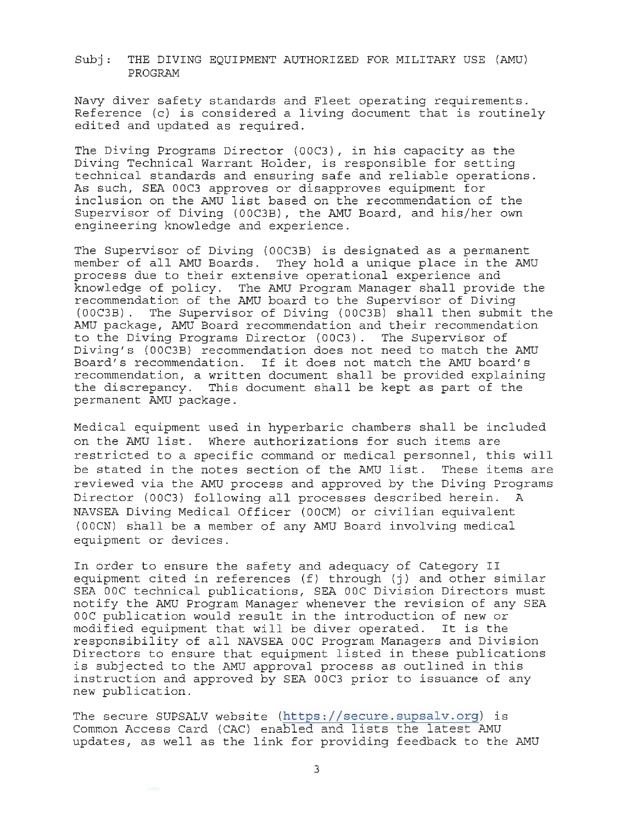Navy diver safety standards and Fleet operating requirements. Reference (c) is considered a living document that is routinely edited and updated as required.

The Diving Programs Director (OOC3) , in his capacity as the Diving Technical Warrant Holder, is responsible for setting technical standards and ensuring safe and reliable operations. As such, SEA OOC3 approves or disapproves equipment for inclusion on the AMU list based on the recommendation of the Supervisor of Diving (OOC3B), the AMU Board, and his/her own engineering knowledge and experience.

The Supervisor of Diving (OOC3B) is designated as a permanent member of all AMU Boards. They hold a unique place in the AMU process due to their extensive operational experience and knowledge of policy. The AMU Program Manager shall provide the recommendation of the AMU board to the Supervisor of Diving (OOC3B). The Supervisor of Diving (OOC3B) shall then submit the AMU package, AMU Board recommendation and their recommendation to the Diving Programs Director (OOC3). The Supervisor of Diving's (OOC3B) recommendation does not need to match the AMU Board's recommendation. If it does not match the AMU board's recommendation, a written document shall be provided explaining the discrepancy. This document shall be kept as part of the permanent AMU package.

Medical equipment used in hyperbaric chambers shall be included on the AMU list. Where authorizations for such items are restricted to a specific command or medical personnel, this will be stated in the notes section of the AMU list. These items are reviewed via the AMU process and approved by the Diving Programs Director (00C3) following all processes described herein. A NAVSEA Diving Medical Officer (OOCM) or civilian equivalent (OOCN) shall be a member of any AMU Board involving medical equipment or devices.

In order to ensure the safety and adequacy of Category II equipment cited in references (f) through (j) and other similar SEA OOC technical publications, SEA OOC Division Directors must notify the AMU Program Manager whenever the revision of any SEA OOC publication would result in the introduction of new or modified equipment that will be diver operated. It is the responsibility of all NAVSEA OOC Program Managers and Division Directors to ensure that equipment listed in these publications is subjected to the AMU approval process as outlined in this instruction and approved by SEA 00C3 prior to issuance of any new publication.

The secure SUPSALV website (https: //secure.supsalv.org) is Common Access Card (CAC) enabled and lists the latest AMU updates, as well as the link for providing feedback to the AMU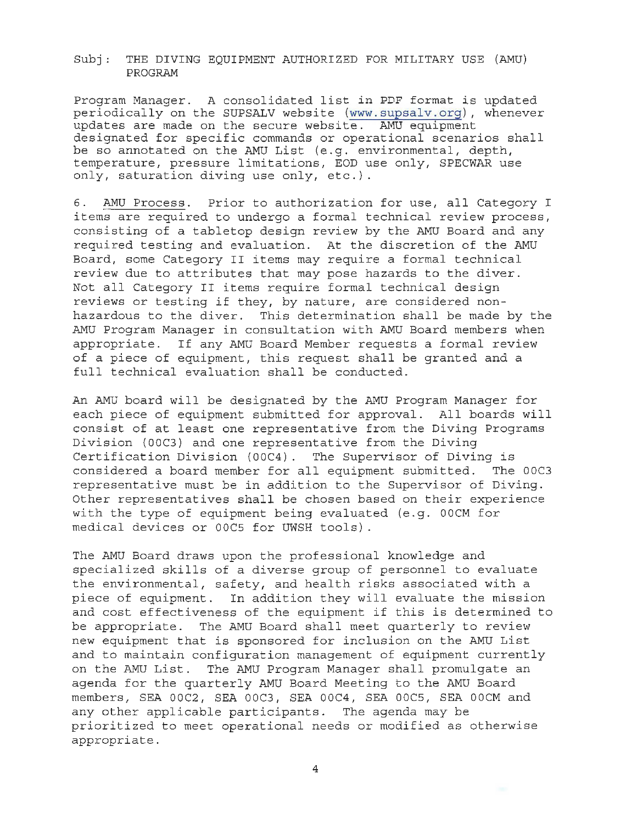Program Manager. A consolidated list in PDF format is updated periodically on the SUPSALV website (www.supsalv.org), whenever updates are made on the secure website. AMU equipment designated for specific commands or operational scenarios shall be so annotated on the AMU List (e.g. environmental, depth, temperature, pressure limitations, EOD use only, SPECWAR use only, saturation diving use only, etc.).

6. AMU Process. Prior to authorization for use, all Category I items are required to undergo a formal technical review process, consisting of a tabletop design review by the AMU Board and any required testing and evaluation. At the discretion of the AMU Board/ some Category II items may require a formal technical review due to attributes that may pose hazards to the diver. Not all Category II items require formal technical design reviews or testing if they, by nature, are considered nonhazardous to the diver. This determination shall be made by the AMU Program Manager in consultation with AMU Board members when appropriate. If any AMU Board Member requests a formal review of a piece of equipment, this request shall be granted and a full technical evaluation shall be conducted.

An AMU board will be designated by the AMU Program Manager for each piece of equipment submitted for approval. All boards will consist of at least one representative from the Diving Programs Division (OOC3) and one representative from the Diving Certification Division (OOC4). The Supervisor of Diving is considered a board member for all equipment submitted. The OOC3 representative must be in addition to the Supervisor of Diving. Other representatives shall be chosen based on their experience with the type of equipment being evaluated (e.g. OOCM for medical devices or 00C5 for UWSH tools).

The AMU Board draws upon the professional knowledge and specialized skills of a diverse group of personnel to evaluate the environmental, safety, and health risks associated with a piece of equipment. In addition they will evaluate the mission and cost effectiveness of the equipment if this is determined to be appropriate. The AMU Board shall meet quarterly to review new equipment that is sponsored for inclusion on the AMU List and to maintain configuration management of equipment currently on the AMU List. The AMU Program Manager shall promulgate an agenda for the quarterly AMU Board Meeting to the AMU Board members, SEA 00C2, SEA 00C3, SEA 00C4, SEA 00C5, SEA 00CM and any other applicable participants. The agenda may be prioritized to meet operational needs or modified as otherwise appropriate.

4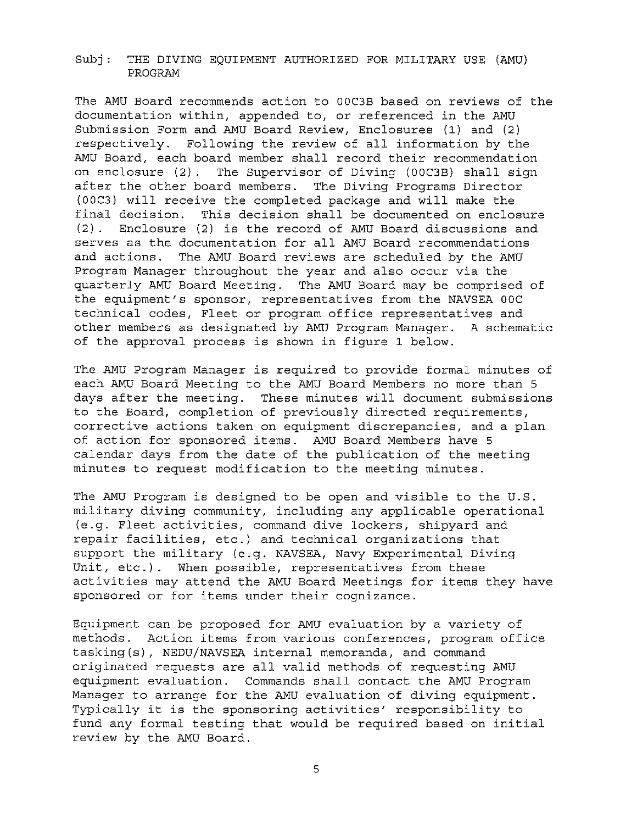The AMU Board recommends action to OOC3B based on reviews of the documentation within, appended to, or referenced in the AMU Submission Form and AMU Board Review, Enclosures (1) and (2) respectively. Following the review of all information by the AMU Board, each board member shall record their recommendation on enclosure (2) . The Supervisor of Diving (OOC3B) shall sign after the other board members. The Diving Programs Director (OOC3) will receive the completed package and will make the final decision. This decision shall be documented on enclosure (2) . Enclosure (2) is the record of AMU Board discussions and serves as the documentation for all AMU Board recommendations and actions. The AMU Board reviews are scheduled by the AMU Program Manager throughout the year and also occur via the quarterly AMU Board Meeting. The AMU Board may be comprised of the equipment's sponsor, representatives from the NAVSEA OOC technical codes, Fleet or program office representatives and other members as designated by AMU Program Manager. A schematic of the approval process is shown in figure 1 below.

The AMU Program Manager is required to provide formal minutes of each AMU Board Meeting to the AMU Board Members no more than 5 days after the meeting. These minutes will document submissions to the Board, completion of previously directed requirements, corrective actions taken on equipment discrepancies, and a plan of action for sponsored items. AMU Board Members have 5 calendar days from the date of the publication of the meeting minutes to request modification to the meeting minutes.

The AMU Program is designed to be open and visible to the U.S. military diving community, including any applicable operational (e.g. Fleet activities, command dive lockers, shipyard and repair facilities, etc.) and technical organizations that support the military (e.g. NAVSEA, Navy Experimental Diving Unit, etc.). When possible, representatives from these activities may attend the AMU Board Meetings for items they have sponsored or for items under their cognizance.

Equipment can be proposed for AMU evaluation by a variety of methods. Action items from various conferences, program office tasking(s), NEDU/NAVSEA internal memoranda, and command originated requests are all valid methods of requesting AMU equipment evaluation. Commands shall contact the AMU Program Manager to arrange for the AMU evaluation of diving equipment. Typically it is the sponsoring activities' responsibility to fund any formal testing that would be required based on initial review by the AMU Board.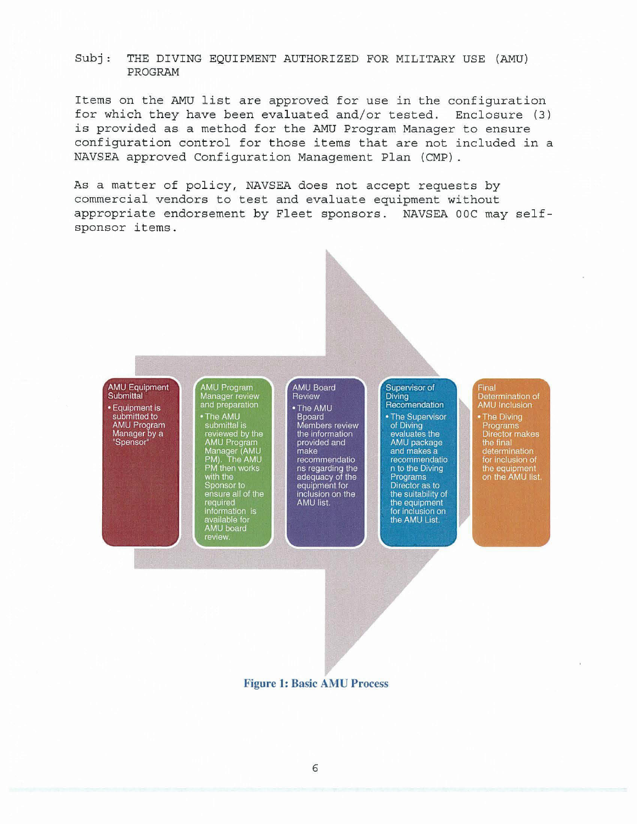Items on the AMU list are approved for use in the configuration for which they have been evaluated and/or tested. Enclosure (3) is provided as a method for the AMU Program Manager to ensure configuration control for those items that are not included in a NAVSEA approved Configuration Management Plan (CMP) .

As a matter of policy, NAVSEA does not accept requests by commercial vendors to test and evaluate equipment without appropriate endorsement by Fleet sponsors. NAVSEA OOC may selfsponsor items.

AMU Equipment Submittal · Equipment is submitted to **AMU Program** Manager by a "Spensor"

AMU Program<br>Manager review<br>and preparation • The AMU • The AMU<br>submittal is<br>reviewed by the<br>AMU Program<br>Manager (AMU<br>PM then works<br>with the<br>wint of Sponsor to with the<br>sponsor to<br>ensure all of the<br>required<br>information is<br>available for<br>AMU board<br>miaw

review.

### **AMU Board** Review · The AMU

**Bpoard** Members review the information provided and make recommendatio ns regarding the<br>adequacy of the equipment for inclusion on the AMU list.

#### Supervisor of Diving Recomendation • The Supervisor of Diving evaluates the AMU package and makes a recommendatio n to the Diving Programs Director as to the suitability of the equipment for inclusion on the AMU List.

Determination of<br>AMU Inclusion • The Diving Programs Director makes the final determination for inclusion of<br>the equipment<br>on the AMU list.

Final

**Figure 1: Basic AMU Process**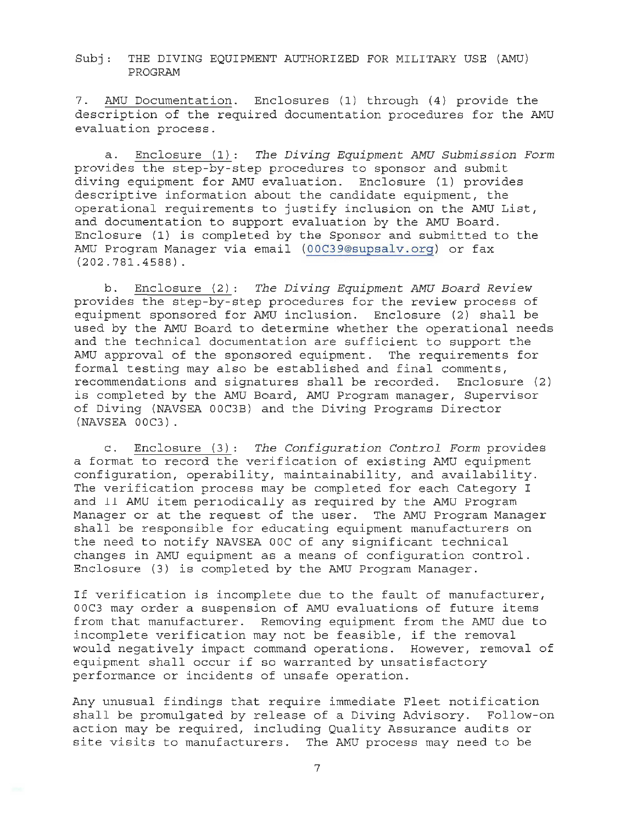7 . AMU Documentation. Enclosures (1) through (4) provide the description of the required documentation procedures for the AMU evaluation process.

a . Enclosure (1 ) *The Diving Equipment AMU Submission* Form provides the step-by-step procedures to sponsor and submit diving equipment for AMU evaluation. Enclosure (1) provides descriptive information about the candidate equipment, the operational requirements to justify inclusion on the AMU List, and documentation to support evaluation by the AMU Board. Enclosure (1) is completed by the Sponsor and submitted to the AMU Program Manager via email (OOC39@supsalv . org) or fax  $(202.781.4588)$ .

b. Enclosure (2): *The Diving Equipment AMU Board Review*  provides the step-by-step procedures for the review process of equipment sponsored for AMU inclusion. Enclosure (2) shall be used by the AMU Board to determine whether the operational needs and the technical documentation are sufficient to support the AMU approval of the sponsored equipment. The requirements for formal testing may also be established and final comments , recommendations and signatures shall be recorded. Enclosure (2) is completed by the AMU Board, AMU Program manager, Supervisor of Diving (NAVSEA OOC3B) and the Diving Programs Director (NAVSEA OOC3).

c. Enclosure (3): The Configuration Control Form provides a format to record the verification of existing AMU equipment configuration, operability, maintainability, and availability. The verification process may be completed for each Category I and 11 AMU item periodically as required by the AMU Program Manager or at the request of the user. The AMU Program Manager shall be responsible for educating equipment manufacturers on the need to notify NAVSEA ooc of any significant technical changes in AMU equipment as a means of configuration control . Enclosure (3) is completed by the AMU Program Manager.

If verification is incomplete due to the fault of manufacturer, OOC3 may order a suspension of AMU evaluations of future items from that manufacturer. Removing equipment from the AMU due to incomplete verification may not be feasible, if the removal would negatively impact command operations. However, removal of equipment shall occur if so warranted by unsatisfactory performance or incidents of unsafe operation.

Any unusual findings that require immediate Fleet notification shall be promulgated by release of a Diving Advisory. Follow-on action may be required, including Quality Assurance audits or site visits to manufacturers. The AMU process may need to be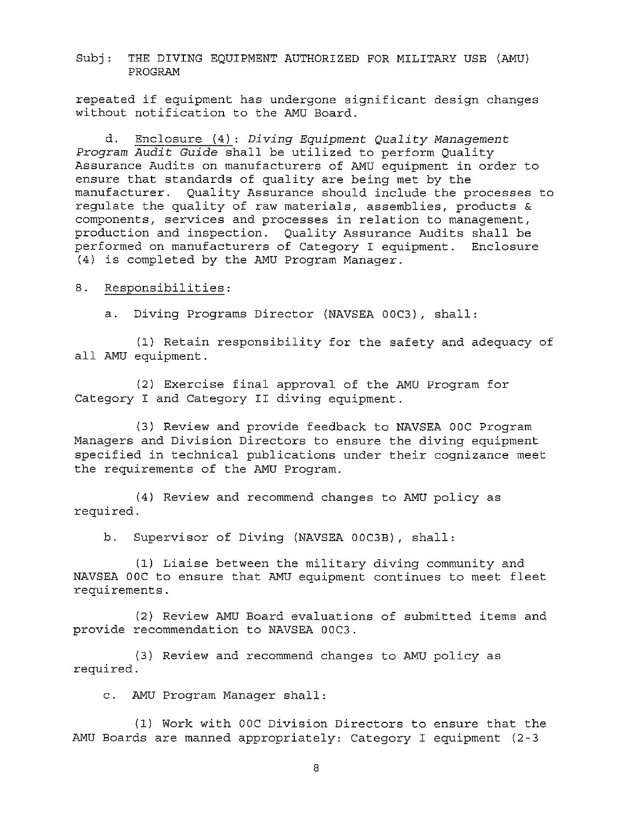repeated if equipment has undergone significant design changes without notification to the AMU Board.

d. Enclosure (4): *Diving Equipment Quality Management Program Audit Guide* shall be utilized to perform Quality Assurance Audits on manufacturers of AMU equipment in order to ensure that standards of quality are being met by the manufacturer. Quality Assurance should include the processes to regulate the quality of raw materials, assemblies, products & components, services and processes in relation to management, production and inspection. Quality Assurance Audits shall be performed on manufacturers of Category I equipment. Enclosure (4) is completed by the AMU Program Manager.

### 8. Responsibilities:

a. Diving Programs Director (NAVSEA OOC3), shall:

(1) Retain responsibility for the safety and adequacy of all AMU equipment.

(2) Exercise final approval of the AMU Program for Category I and Category II diving equipment.

(3) Review and provide feedback to NAVSEA OOC Program Managers and Division Directors to ensure the diving equipment specified in technical publications under their cognizance meet the requirements of the AMU Program.

(4) Review and recommend changes to AMU policy as required.

b. Supervisor of Diving (NAVSEA OOC3B), shall:

(1) Liaise between the military diving community and NAVSEA OOC to ensure that AMU equipment continues to meet fleet requirements.

(2) Review AMU Board evaluations of submitted items and provide recommendation to NAVSEA OOC3.

(3) Review and recommend changes to AMU policy as required.

c. AMU Program Manager shall:

(1) Work with OOC Division Directors to ensure that the AMU Boards are manned appropriately: Category I equipment (2-3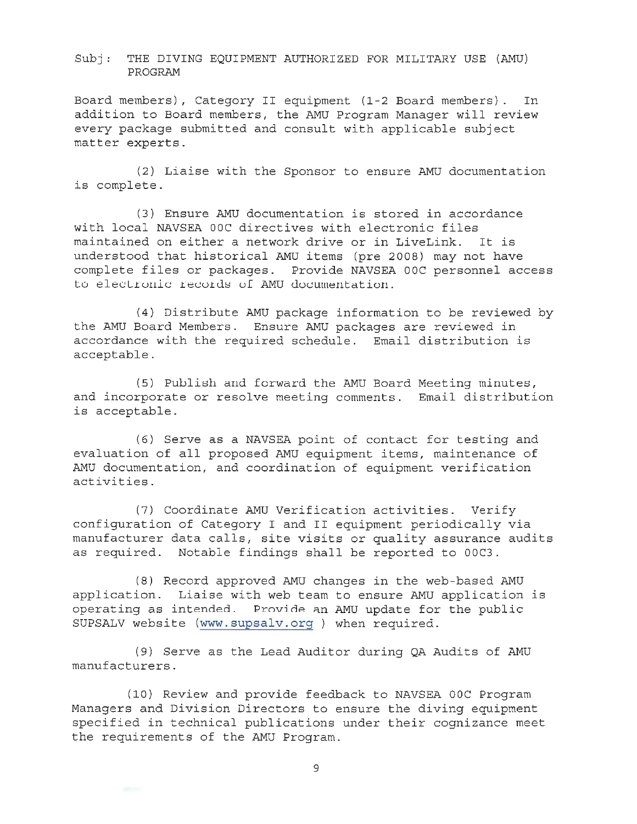Board members), Category II equipment (1-2 Board members) . In addition to Board members, the AMU Program Manager will review every package submitted and consult with applicable subject matter experts.

(2) Liaise with the Sponsor to ensure AMU documentation is complete.

(3 ) Ensure AMU documentation is stored in accordance with local NAVSEA OOC directives with electronic files maintained on either a network drive or in LiveLink. It is understood that historical AMU items (pre 2008) may not have complete files or packages. Provide NAVSEA OOC personnel access to electronic records of AMU documentation.

(4) Distribute AMU package information to be reviewed by the AMU Board Members. Ensure AMU packages are reviewed in accordance with the required schedule. Email distribution is acceptable.

(5) Publish and forward the AMU Board Meeting minutes, and incorporate or resolve meeting comments. Email distribution is acceptable .

(6 ) Serve as a NAVSEA point of contact for testing and evaluation of all proposed AMU equipment items, maintenance of AMU documentation, and coordination of equipment verification activities.

(7) Coordinate AMU Verification activities. Verify configuration of Category I and II equipment periodically Vla manufacturer data calls, site visits or quality assurance audits as required. Notable findings shall be reported to 00C3.

(8) Record approved AMU changes in the web-based AMU application. Liaise with web team to ensure AMU application is operating as intended. Provide an AMU update for the public SUPSALV website (www.supsalv.org ) when required .

(9) Serve as the Lead Auditor during QA Audits of AMU manufacturers .

(10) Review and provide feedback to NAVSEA 00C Program Managers and Division Directors to ensure the diving equipment specified in technical publications under their cognizance meet the requirements of the AMU Program.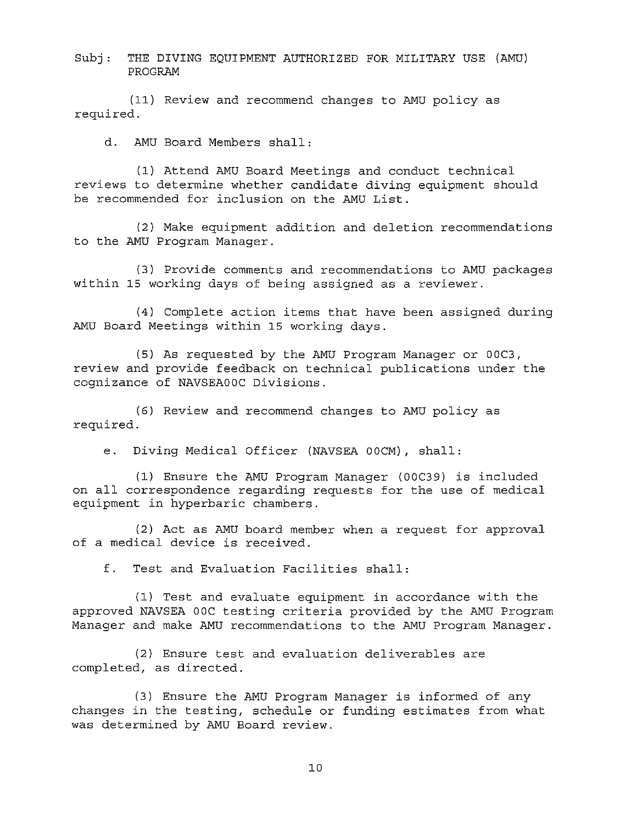(11) Review and recommend changes to AMU policy as required.

d. AMU Board Members shall:

(1) Attend AMU Board Meetings and conduct technical reviews to determine whether candidate diving equipment should be recommended for inclusion on the AMU List.

(2) Make equipment addition and deletion recommendations to the AMU Program Manager.

(3) Provide comments and recommendations to AMU packages within 15 working days of being assigned as a reviewer.

(4) Complete action items that have been assigned during AMU Board Meetings within 15 working days.

(5) As requested by the AMU Program Manager or OOC3, review and provide feedback on technical publications under the cognizance of NAVSEAOOC Divisions.

(6) Review and recommend changes to AMU policy as required.

e. Diving Medical Officer (NAVSEA OOCM), shall:

(1) Ensure the AMU Program Manager (OOC39) is included on all correspondence regarding requests for the use of medical equipment in hyperbaric chambers.

(2) Act as AMU board member when a request for approval of a medical device is received.

f. Test and Evaluation Facilities shall:

(1) Test and evaluate equipment in accordance with the approved NAVSEA DOC testing criteria provided by the AMU Program Manager and make AMU recommendations to the AMU Program Manager.

(2) Ensure test and evaluation deliverables are completed, as directed.

(3) Ensure the AMU Program Manager is informed of any changes in the testing, schedule or funding estimates from what was determined by AMU Board review.